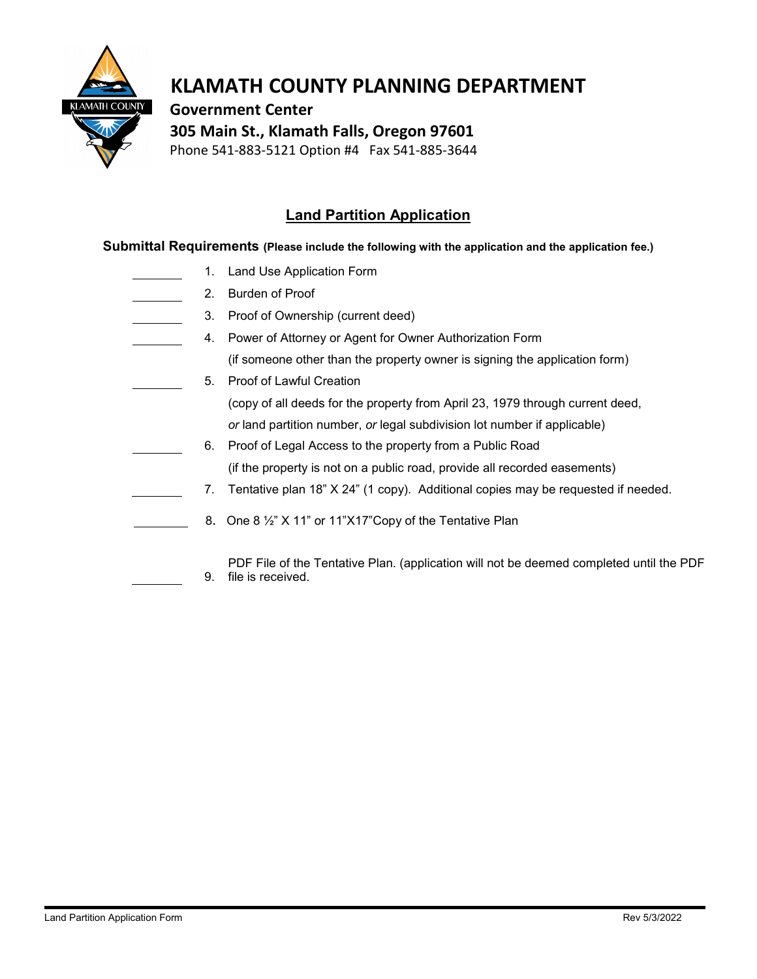

## **KLAMATH COUNTY PLANNING DEPARTMENT**

 **Government Center**

 **305 Main St., Klamath Falls, Oregon 97601**

Phone 541-883-5121 Option #4 Fax 541-885-3644

## **Land Partition Application**

**Submittal Requirements (Please include the following with the application and the application fee.)**

- 1. Land Use Application Form
- 2. Burden of Proof
	- 3. Proof of Ownership (current deed)
- 4. Power of Attorney or Agent for Owner Authorization Form (if someone other than the property owner is signing the application form)
	- 5. Proof of Lawful Creation (copy of all deeds for the property from April 23, 1979 through current deed, *or* land partition number, *or* legal subdivision lot number if applicable)
- 6. Proof of Legal Access to the property from a Public Road (if the property is not on a public road, provide all recorded easements)
	- 7. Tentative plan 18" X 24" (1 copy). Additional copies may be requested if needed.
	- 8. One 8 ½" X 11" or 11"X17"Copy of the Tentative Plan
		- 9. PDF File of the Tentative Plan. (application will not be deemed completed until the PDF file is received.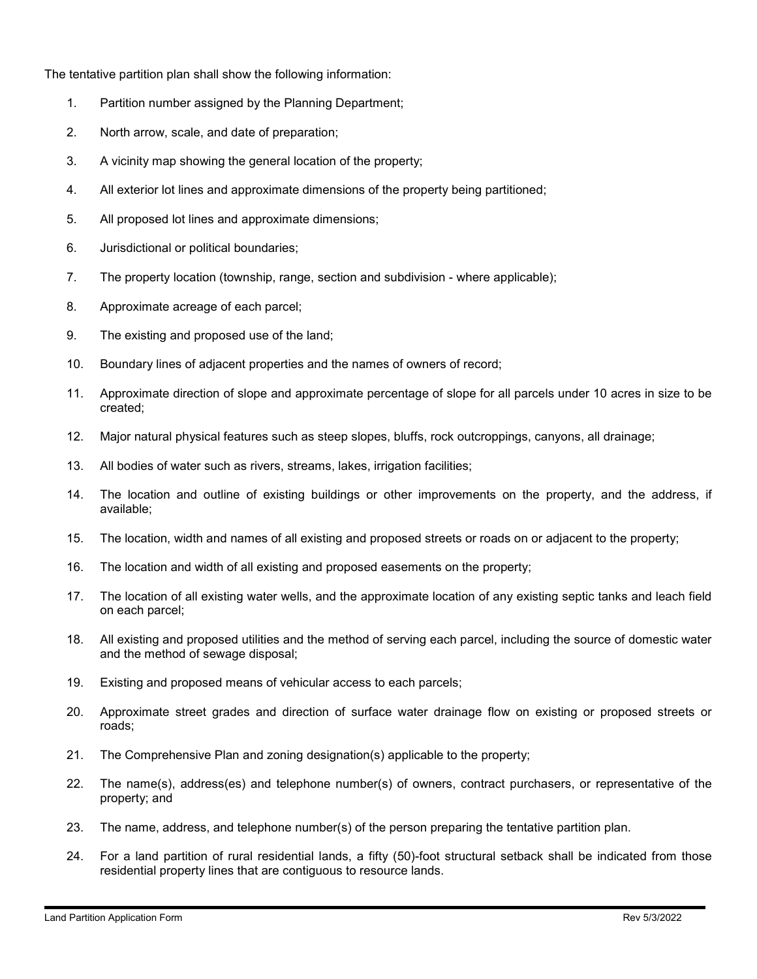The tentative partition plan shall show the following information:

- 1. Partition number assigned by the Planning Department;
- 2. North arrow, scale, and date of preparation;
- 3. A vicinity map showing the general location of the property;
- 4. All exterior lot lines and approximate dimensions of the property being partitioned;
- 5. All proposed lot lines and approximate dimensions;
- 6. Jurisdictional or political boundaries;
- 7. The property location (township, range, section and subdivision where applicable);
- 8. Approximate acreage of each parcel;
- 9. The existing and proposed use of the land;
- 10. Boundary lines of adjacent properties and the names of owners of record;
- 11. Approximate direction of slope and approximate percentage of slope for all parcels under 10 acres in size to be created;
- 12. Major natural physical features such as steep slopes, bluffs, rock outcroppings, canyons, all drainage;
- 13. All bodies of water such as rivers, streams, lakes, irrigation facilities;
- 14. The location and outline of existing buildings or other improvements on the property, and the address, if available;
- 15. The location, width and names of all existing and proposed streets or roads on or adjacent to the property;
- 16. The location and width of all existing and proposed easements on the property;
- 17. The location of all existing water wells, and the approximate location of any existing septic tanks and leach field on each parcel;
- 18. All existing and proposed utilities and the method of serving each parcel, including the source of domestic water and the method of sewage disposal;
- 19. Existing and proposed means of vehicular access to each parcels;
- 20. Approximate street grades and direction of surface water drainage flow on existing or proposed streets or roads;
- 21. The Comprehensive Plan and zoning designation(s) applicable to the property;
- 22. The name(s), address(es) and telephone number(s) of owners, contract purchasers, or representative of the property; and
- 23. The name, address, and telephone number(s) of the person preparing the tentative partition plan.
- 24. For a land partition of rural residential lands, a fifty (50)-foot structural setback shall be indicated from those residential property lines that are contiguous to resource lands.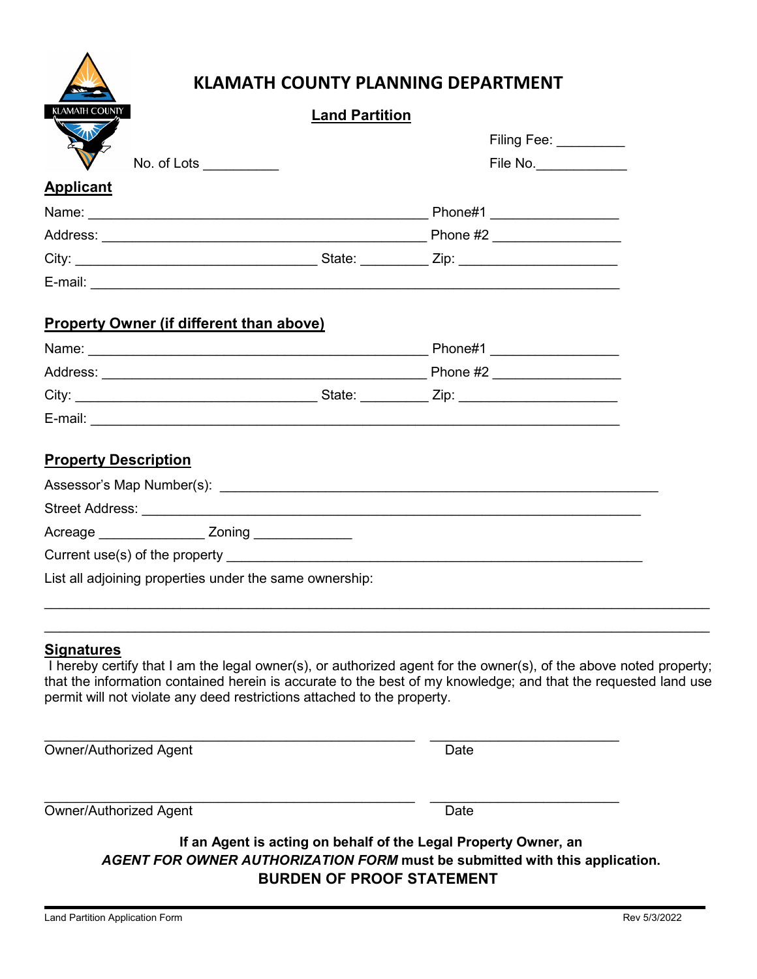|  |  | <b>KLAMATH COUNTY PLANNING DEPARTMENT</b> |
|--|--|-------------------------------------------|
|  |  |                                           |

| <b>KLAMATH COUNTY</b>                       | <b>Land Partition</b>                                   |                                                                                                                                                                                                                                     |  |
|---------------------------------------------|---------------------------------------------------------|-------------------------------------------------------------------------------------------------------------------------------------------------------------------------------------------------------------------------------------|--|
| XIV                                         |                                                         | Filing Fee: _________                                                                                                                                                                                                               |  |
| No. of Lots ___________                     |                                                         | File No.                                                                                                                                                                                                                            |  |
| <b>Applicant</b>                            |                                                         |                                                                                                                                                                                                                                     |  |
|                                             |                                                         |                                                                                                                                                                                                                                     |  |
|                                             |                                                         |                                                                                                                                                                                                                                     |  |
|                                             |                                                         |                                                                                                                                                                                                                                     |  |
|                                             |                                                         |                                                                                                                                                                                                                                     |  |
| Property Owner (if different than above)    |                                                         |                                                                                                                                                                                                                                     |  |
|                                             |                                                         |                                                                                                                                                                                                                                     |  |
|                                             |                                                         |                                                                                                                                                                                                                                     |  |
|                                             |                                                         |                                                                                                                                                                                                                                     |  |
|                                             |                                                         |                                                                                                                                                                                                                                     |  |
| <b>Property Description</b>                 |                                                         |                                                                                                                                                                                                                                     |  |
|                                             |                                                         |                                                                                                                                                                                                                                     |  |
|                                             |                                                         |                                                                                                                                                                                                                                     |  |
| Acreage _______________ Zoning ____________ |                                                         |                                                                                                                                                                                                                                     |  |
|                                             |                                                         |                                                                                                                                                                                                                                     |  |
|                                             | List all adjoining properties under the same ownership: |                                                                                                                                                                                                                                     |  |
|                                             |                                                         |                                                                                                                                                                                                                                     |  |
| <b>Signatures</b>                           |                                                         |                                                                                                                                                                                                                                     |  |
|                                             |                                                         | I hereby certify that I am the legal owner(s), or authorized agent for the owner(s), of the above noted property;<br>that the information contained herein is accurate to the best of my knowledge; and that the requested land use |  |

that the information contained herein is accurate to the best of my knowledge; and that the requested land use permit will not violate any deed restrictions attached to the property.

 $\_$  ,  $\_$  ,  $\_$  ,  $\_$  ,  $\_$  ,  $\_$  ,  $\_$  ,  $\_$  ,  $\_$  ,  $\_$  ,  $\_$  ,  $\_$  ,  $\_$  ,  $\_$  ,  $\_$  ,  $\_$  ,  $\_$  ,  $\_$  ,  $\_$  ,  $\_$  ,  $\_$  ,  $\_$  ,  $\_$  ,  $\_$  ,  $\_$  ,  $\_$  ,  $\_$  ,  $\_$  ,  $\_$  ,  $\_$  ,  $\_$  ,  $\_$  ,  $\_$  ,  $\_$  ,  $\_$  ,  $\_$  ,  $\_$  ,

Owner/Authorized Agent Date

\_\_\_\_\_\_\_\_\_\_\_\_\_\_\_\_\_\_\_\_\_\_\_\_\_\_\_\_\_\_\_\_\_\_\_\_\_\_\_\_\_\_\_\_\_\_\_\_\_ \_\_\_\_\_\_\_\_\_\_\_\_\_\_\_\_\_\_\_\_\_\_\_\_\_ Owner/Authorized Agent Date

**If an Agent is acting on behalf of the Legal Property Owner, an** *AGENT FOR OWNER AUTHORIZATION FORM* **must be submitted with this application. BURDEN OF PROOF STATEMENT**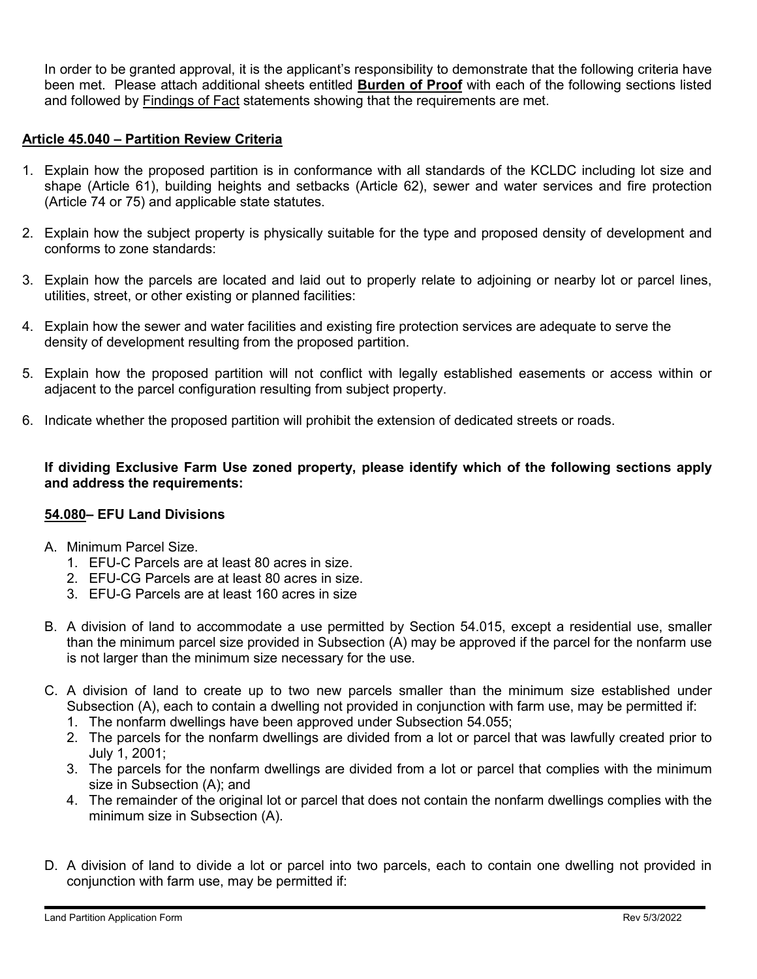In order to be granted approval, it is the applicant's responsibility to demonstrate that the following criteria have been met. Please attach additional sheets entitled **Burden of Proof** with each of the following sections listed and followed by Findings of Fact statements showing that the requirements are met.

## **Article 45.040 – Partition Review Criteria**

- 1. Explain how the proposed partition is in conformance with all standards of the KCLDC including lot size and shape (Article 61), building heights and setbacks (Article 62), sewer and water services and fire protection (Article 74 or 75) and applicable state statutes.
- 2. Explain how the subject property is physically suitable for the type and proposed density of development and conforms to zone standards:
- 3. Explain how the parcels are located and laid out to properly relate to adjoining or nearby lot or parcel lines, utilities, street, or other existing or planned facilities:
- 4. Explain how the sewer and water facilities and existing fire protection services are adequate to serve the density of development resulting from the proposed partition.
- 5. Explain how the proposed partition will not conflict with legally established easements or access within or adjacent to the parcel configuration resulting from subject property.
- 6. Indicate whether the proposed partition will prohibit the extension of dedicated streets or roads.

**If dividing Exclusive Farm Use zoned property, please identify which of the following sections apply and address the requirements:**

## **54.080– EFU Land Divisions**

- A. Minimum Parcel Size.
	- 1. EFU-C Parcels are at least 80 acres in size.
	- 2. EFU-CG Parcels are at least 80 acres in size.
	- 3. EFU-G Parcels are at least 160 acres in size
- B. A division of land to accommodate a use permitted by Section 54.015, except a residential use, smaller than the minimum parcel size provided in Subsection (A) may be approved if the parcel for the nonfarm use is not larger than the minimum size necessary for the use.
- C. A division of land to create up to two new parcels smaller than the minimum size established under Subsection (A), each to contain a dwelling not provided in conjunction with farm use, may be permitted if:
	- 1. The nonfarm dwellings have been approved under Subsection 54.055;
	- 2. The parcels for the nonfarm dwellings are divided from a lot or parcel that was lawfully created prior to July 1, 2001;
	- 3. The parcels for the nonfarm dwellings are divided from a lot or parcel that complies with the minimum size in Subsection (A); and
	- 4. The remainder of the original lot or parcel that does not contain the nonfarm dwellings complies with the minimum size in Subsection (A).
- D. A division of land to divide a lot or parcel into two parcels, each to contain one dwelling not provided in conjunction with farm use, may be permitted if: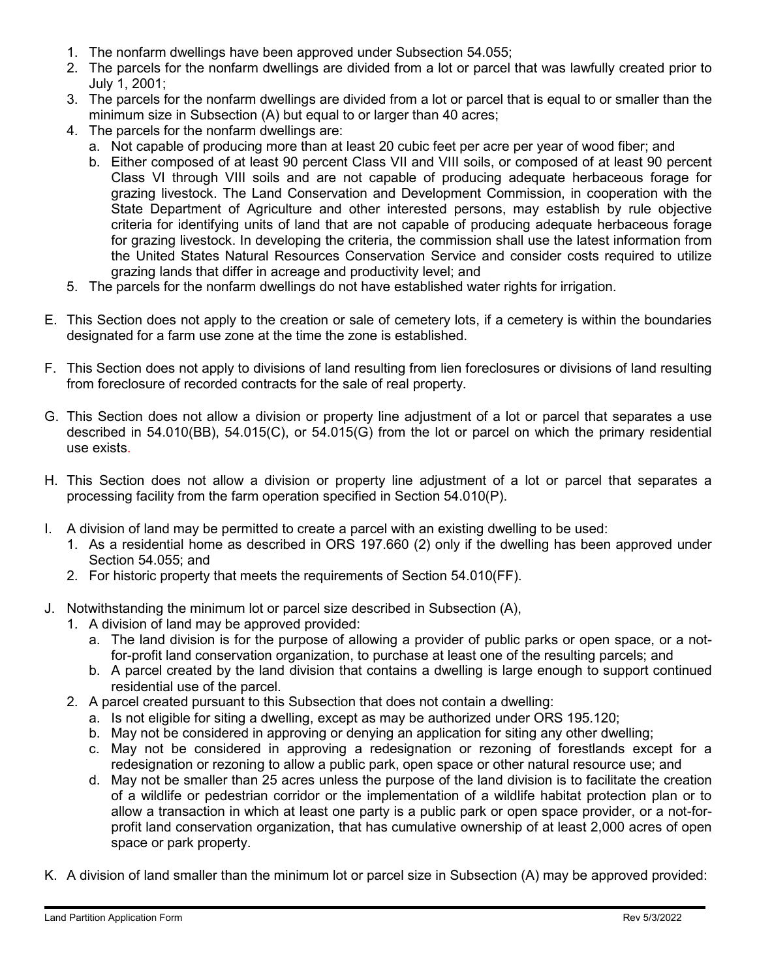- 1. The nonfarm dwellings have been approved under Subsection 54.055;
- 2. The parcels for the nonfarm dwellings are divided from a lot or parcel that was lawfully created prior to July 1, 2001;
- 3. The parcels for the nonfarm dwellings are divided from a lot or parcel that is equal to or smaller than the minimum size in Subsection (A) but equal to or larger than 40 acres;
- 4. The parcels for the nonfarm dwellings are:
	- a. Not capable of producing more than at least 20 cubic feet per acre per year of wood fiber; and
	- b. Either composed of at least 90 percent Class VII and VIII soils, or composed of at least 90 percent Class VI through VIII soils and are not capable of producing adequate herbaceous forage for grazing livestock. The Land Conservation and Development Commission, in cooperation with the State Department of Agriculture and other interested persons, may establish by rule objective criteria for identifying units of land that are not capable of producing adequate herbaceous forage for grazing livestock. In developing the criteria, the commission shall use the latest information from the United States Natural Resources Conservation Service and consider costs required to utilize grazing lands that differ in acreage and productivity level; and
- 5. The parcels for the nonfarm dwellings do not have established water rights for irrigation.
- E. This Section does not apply to the creation or sale of cemetery lots, if a cemetery is within the boundaries designated for a farm use zone at the time the zone is established.
- F. This Section does not apply to divisions of land resulting from lien foreclosures or divisions of land resulting from foreclosure of recorded contracts for the sale of real property.
- G. This Section does not allow a division or property line adjustment of a lot or parcel that separates a use described in 54.010(BB), 54.015(C), or 54.015(G) from the lot or parcel on which the primary residential use exists.
- H. This Section does not allow a division or property line adjustment of a lot or parcel that separates a processing facility from the farm operation specified in Section 54.010(P).
- I. A division of land may be permitted to create a parcel with an existing dwelling to be used:
	- 1. As a residential home as described in ORS 197.660 (2) only if the dwelling has been approved under Section 54.055; and
	- 2. For historic property that meets the requirements of Section 54.010(FF).
- J. Notwithstanding the minimum lot or parcel size described in Subsection (A),
	- 1. A division of land may be approved provided:
		- a. The land division is for the purpose of allowing a provider of public parks or open space, or a notfor-profit land conservation organization, to purchase at least one of the resulting parcels; and
		- b. A parcel created by the land division that contains a dwelling is large enough to support continued residential use of the parcel.
	- 2. A parcel created pursuant to this Subsection that does not contain a dwelling:
		- a. Is not eligible for siting a dwelling, except as may be authorized under ORS 195.120;
		- b. May not be considered in approving or denying an application for siting any other dwelling;
		- c. May not be considered in approving a redesignation or rezoning of forestlands except for a redesignation or rezoning to allow a public park, open space or other natural resource use; and
		- d. May not be smaller than 25 acres unless the purpose of the land division is to facilitate the creation of a wildlife or pedestrian corridor or the implementation of a wildlife habitat protection plan or to allow a transaction in which at least one party is a public park or open space provider, or a not-forprofit land conservation organization, that has cumulative ownership of at least 2,000 acres of open space or park property.
- K. A division of land smaller than the minimum lot or parcel size in Subsection (A) may be approved provided: